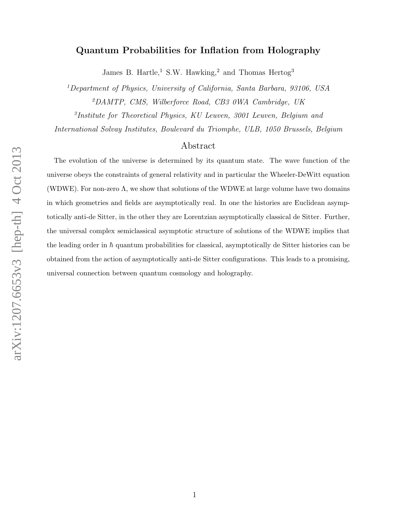# Quantum Probabilities for Inflation from Holography

James B. Hartle,<sup>1</sup> S.W. Hawking,<sup>2</sup> and Thomas Hertog<sup>3</sup>

<sup>1</sup>Department of Physics, University of California, Santa Barbara, 93106, USA <sup>2</sup>DAMTP, CMS, Wilberforce Road, CB3 0WA Cambridge, UK

3 Institute for Theoretical Physics, KU Leuven, 3001 Leuven, Belgium and

International Solvay Institutes, Boulevard du Triomphe, ULB, 1050 Brussels, Belgium

## Abstract

The evolution of the universe is determined by its quantum state. The wave function of the universe obeys the constraints of general relativity and in particular the Wheeler-DeWitt equation (WDWE). For non-zero  $\Lambda$ , we show that solutions of the WDWE at large volume have two domains in which geometries and fields are asymptotically real. In one the histories are Euclidean asymptotically anti-de Sitter, in the other they are Lorentzian asymptotically classical de Sitter. Further, the universal complex semiclassical asymptotic structure of solutions of the WDWE implies that the leading order in  $\hbar$  quantum probabilities for classical, asymptotically de Sitter histories can be obtained from the action of asymptotically anti-de Sitter configurations. This leads to a promising, universal connection between quantum cosmology and holography.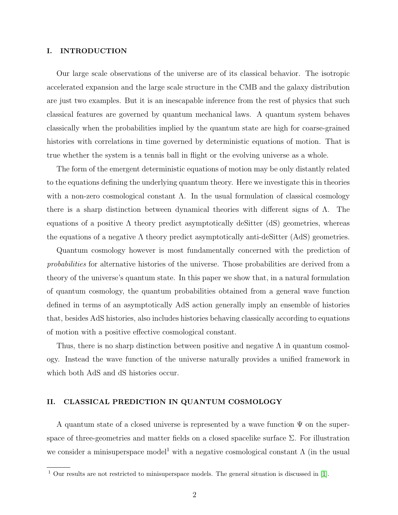## I. INTRODUCTION

Our large scale observations of the universe are of its classical behavior. The isotropic accelerated expansion and the large scale structure in the CMB and the galaxy distribution are just two examples. But it is an inescapable inference from the rest of physics that such classical features are governed by quantum mechanical laws. A quantum system behaves classically when the probabilities implied by the quantum state are high for coarse-grained histories with correlations in time governed by deterministic equations of motion. That is true whether the system is a tennis ball in flight or the evolving universe as a whole.

The form of the emergent deterministic equations of motion may be only distantly related to the equations defining the underlying quantum theory. Here we investigate this in theories with a non-zero cosmological constant  $\Lambda$ . In the usual formulation of classical cosmology there is a sharp distinction between dynamical theories with different signs of  $\Lambda$ . The equations of a positive  $\Lambda$  theory predict asymptotically deSitter (dS) geometries, whereas the equations of a negative  $\Lambda$  theory predict asymptotically anti-deSitter (AdS) geometries.

Quantum cosmology however is most fundamentally concerned with the prediction of probabilities for alternative histories of the universe. Those probabilities are derived from a theory of the universe's quantum state. In this paper we show that, in a natural formulation of quantum cosmology, the quantum probabilities obtained from a general wave function defined in terms of an asymptotically AdS action generally imply an ensemble of histories that, besides AdS histories, also includes histories behaving classically according to equations of motion with a positive effective cosmological constant.

Thus, there is no sharp distinction between positive and negative  $\Lambda$  in quantum cosmology. Instead the wave function of the universe naturally provides a unified framework in which both AdS and dS histories occur.

#### II. CLASSICAL PREDICTION IN QUANTUM COSMOLOGY

A quantum state of a closed universe is represented by a wave function  $\Psi$  on the superspace of three-geometries and matter fields on a closed spacelike surface  $\Sigma$ . For illustration we consider a minisuperspace model<sup>1</sup> with a negative cosmological constant  $\Lambda$  (in the usual

 $1$  Our results are not restricted to minisuperspace models. The general situation is discussed in [\[1\]](#page-10-0).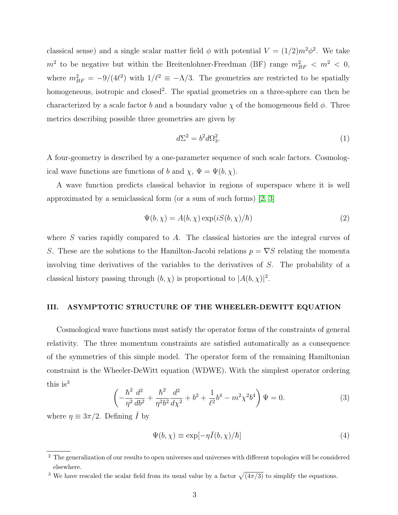classical sense) and a single scalar matter field  $\phi$  with potential  $V = (1/2)m^2\phi^2$ . We take  $m^2$  to be negative but within the Breitenlohner-Freedman (BF) range  $m_{BF}^2 < m^2 < 0$ , where  $m_{BF}^2 = -9/(4\ell^2)$  with  $1/\ell^2 \equiv -\Lambda/3$ . The geometries are restricted to be spatially homogeneous, isotropic and closed<sup>2</sup>. The spatial geometries on a three-sphere can then be characterized by a scale factor b and a boundary value  $\chi$  of the homogeneous field  $\phi$ . Three metrics describing possible three geometries are given by

$$
d\Sigma^2 = b^2 d\Omega_3^2. \tag{1}
$$

A four-geometry is described by a one-parameter sequence of such scale factors. Cosmological wave functions are functions of b and  $\chi$ ,  $\Psi = \Psi(b, \chi)$ .

A wave function predicts classical behavior in regions of superspace where it is well approximated by a semiclassical form (or a sum of such forms) [\[2,](#page-10-1) [3\]](#page-10-2)

<span id="page-2-1"></span>
$$
\Psi(b,\chi) = A(b,\chi)\exp(iS(b,\chi)/\hbar)
$$
\n(2)

where S varies rapidly compared to A. The classical histories are the integral curves of S. These are the solutions to the Hamilton-Jacobi relations  $p = \nabla S$  relating the momenta involving time derivatives of the variables to the derivatives of S. The probability of a classical history passing through  $(b, \chi)$  is proportional to  $|A(b, \chi)|^2$ .

#### III. ASYMPTOTIC STRUCTURE OF THE WHEELER-DEWITT EQUATION

Cosmological wave functions must satisfy the operator forms of the constraints of general relativity. The three momentum constraints are satisfied automatically as a consequence of the symmetries of this simple model. The operator form of the remaining Hamiltonian constraint is the Wheeler-DeWitt equation (WDWE). With the simplest operator ordering this is<sup>3</sup>

$$
\left(-\frac{\hbar^2}{\eta^2}\frac{d^2}{db^2} + \frac{\hbar^2}{\eta^2 b^2}\frac{d^2}{d\chi^2} + b^2 + \frac{1}{\ell^2}b^4 - m^2\chi^2 b^4\right)\Psi = 0.
$$
\n(3)

where  $\eta \equiv 3\pi/2$ . Defining  $\dot{I}$  by

<span id="page-2-0"></span>
$$
\Psi(b,\chi) \equiv \exp[-\eta \check{I}(b,\chi)/\hbar]
$$
\n(4)

<sup>&</sup>lt;sup>2</sup> The generalization of our results to open universes and universes with different topologies will be considered elsewhere.

<sup>&</sup>lt;sup>3</sup> We have rescaled the scalar field from its usual value by a factor  $\sqrt{(4\pi/3)}$  to simplify the equations.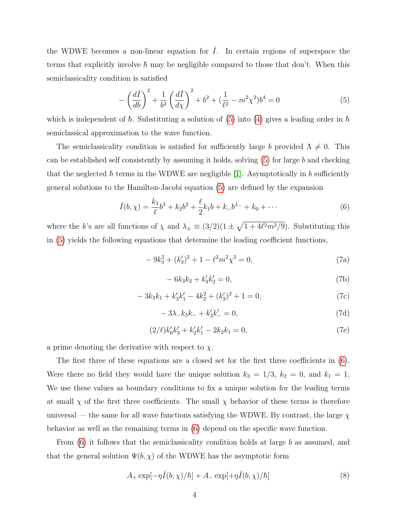the WDWE becomes a non-linear equation for  $\dot{I}$ . In certain regions of superspace the terms that explicitly involve  $\hbar$  may be negligible compared to those that don't. When this semiclassicality condition is satisfied

<span id="page-3-0"></span>
$$
-\left(\frac{d\check{I}}{db}\right)^{2} + \frac{1}{b^{2}}\left(\frac{d\check{I}}{d\chi}\right)^{2} + b^{2} + \left(\frac{1}{\ell^{2}} - m^{2}\chi^{2}\right)b^{4} = 0
$$
\n(5)

which is independent of  $\hbar$ . Substituting a solution of [\(5\)](#page-3-0) into [\(4\)](#page-2-0) gives a leading order in  $\hbar$ semiclassical approximation to the wave function.

The semiclassicality condition is satisfied for sufficiently large b provided  $\Lambda \neq 0$ . This can be established self consistently by assuming it holds, solving  $(5)$  for large b and checking that the neglected  $\hbar$  terms in the WDWE are negligible [\[1\]](#page-10-0). Asymptotically in b sufficiently general solutions to the Hamilton-Jacobi equation [\(5\)](#page-3-0) are defined by the expansion

<span id="page-3-1"></span>
$$
\check{I}(b,\chi) = \frac{k_3}{\ell}b^3 + k_2b^2 + \frac{\ell}{2}k_1b + k_-b^{\lambda_-} + k_0 + \cdots
$$
 (6)

where the k's are all functions of  $\chi$  and  $\lambda_{\pm} \equiv (3/2)(1 \pm \sqrt{1+4\ell^2 m^2/9})$ . Substituting this in [\(5\)](#page-3-0) yields the following equations that determine the leading coefficient functions,

<span id="page-3-4"></span>
$$
-9k_3^2 + (k_3')^2 + 1 - \ell^2 m^2 \chi^2 = 0,
$$
\n(7a)

<span id="page-3-3"></span>
$$
-6k_3k_2 + k'_3k'_2 = 0,
$$
\n(7b)

$$
-3k_3k_1 + k'_3k'_1 - 4k_2^2 + (k'_2)^2 + 1 = 0,
$$
\n(7c)

$$
-3\lambda_{-}k_{3}k_{-}+k'_{3}k'_{-}=0,
$$
\n(7d)

$$
(2/\ell)k'_0k'_3 + k'_2k'_1 - 2k_2k_1 = 0,
$$
\n(7e)

a prime denoting the derivative with respect to  $\chi$ .

The first three of these equations are a closed set for the first three coefficients in [\(6\)](#page-3-1). Were there no field they would have the unique solution  $k_3 = 1/3$ ,  $k_2 = 0$ , and  $k_1 = 1$ . We use these values as boundary conditions to fix a unique solution for the leading terms at small  $\chi$  of the first three coefficients. The small  $\chi$  behavior of these terms is therefore universal — the same for all wave functions satisfying the WDWE. By contrast, the large  $\chi$ behavior as well as the remaining terms in [\(6\)](#page-3-1) depend on the specific wave function.

From  $(6)$  it follows that the semiclassicality condition holds at large b as assumed, and that the general solution  $\Psi(b, \chi)$  of the WDWE has the asymptotic form

<span id="page-3-2"></span>
$$
A_{+}\exp[-\eta\check{I}(b,\chi)/\hbar]+A_{-}\exp[+\eta\check{I}(b,\chi)/\hbar]
$$
\n(8)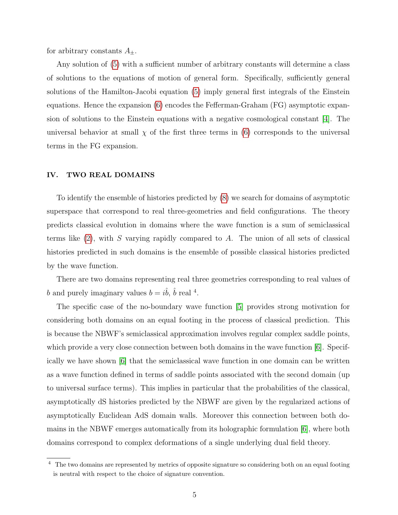for arbitrary constants  $A_{\pm}$ .

Any solution of [\(5\)](#page-3-0) with a sufficient number of arbitrary constants will determine a class of solutions to the equations of motion of general form. Specifically, sufficiently general solutions of the Hamilton-Jacobi equation [\(5\)](#page-3-0) imply general first integrals of the Einstein equations. Hence the expansion [\(6\)](#page-3-1) encodes the Fefferman-Graham (FG) asymptotic expansion of solutions to the Einstein equations with a negative cosmological constant [\[4\]](#page-10-3). The universal behavior at small  $\chi$  of the first three terms in [\(6\)](#page-3-1) corresponds to the universal terms in the FG expansion.

## IV. TWO REAL DOMAINS

To identify the ensemble of histories predicted by [\(8\)](#page-3-2) we search for domains of asymptotic superspace that correspond to real three-geometries and field configurations. The theory predicts classical evolution in domains where the wave function is a sum of semiclassical terms like  $(2)$ , with S varying rapidly compared to A. The union of all sets of classical histories predicted in such domains is the ensemble of possible classical histories predicted by the wave function.

There are two domains representing real three geometries corresponding to real values of b and purely imaginary values  $b = i\hat{b}$ ,  $\hat{b}$  real <sup>4</sup>.

The specific case of the no-boundary wave function [\[5\]](#page-10-4) provides strong motivation for considering both domains on an equal footing in the process of classical prediction. This is because the NBWF's semiclassical approximation involves regular complex saddle points, which provide a very close connection between both domains in the wave function [\[6\]](#page-10-5). Specifically we have shown [\[6\]](#page-10-5) that the semiclassical wave function in one domain can be written as a wave function defined in terms of saddle points associated with the second domain (up to universal surface terms). This implies in particular that the probabilities of the classical, asymptotically dS histories predicted by the NBWF are given by the regularized actions of asymptotically Euclidean AdS domain walls. Moreover this connection between both domains in the NBWF emerges automatically from its holographic formulation [\[6\]](#page-10-5), where both domains correspond to complex deformations of a single underlying dual field theory.

<sup>&</sup>lt;sup>4</sup> The two domains are represented by metrics of opposite signature so considering both on an equal footing is neutral with respect to the choice of signature convention.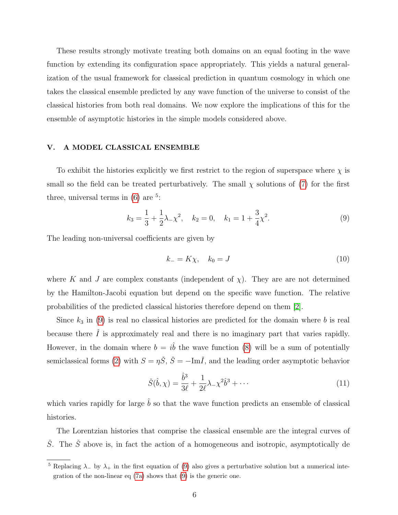These results strongly motivate treating both domains on an equal footing in the wave function by extending its configuration space appropriately. This yields a natural generalization of the usual framework for classical prediction in quantum cosmology in which one takes the classical ensemble predicted by any wave function of the universe to consist of the classical histories from both real domains. We now explore the implications of this for the ensemble of asymptotic histories in the simple models considered above.

## V. A MODEL CLASSICAL ENSEMBLE

To exhibit the histories explicitly we first restrict to the region of superspace where  $\chi$  is small so the field can be treated perturbatively. The small  $\chi$  solutions of [\(7\)](#page-3-3) for the first three, universal terms in  $(6)$  are <sup>5</sup>:

<span id="page-5-0"></span>
$$
k_3 = \frac{1}{3} + \frac{1}{2}\lambda_-\chi^2, \quad k_2 = 0, \quad k_1 = 1 + \frac{3}{4}\chi^2.
$$
 (9)

The leading non-universal coefficients are given by

<span id="page-5-1"></span>
$$
k_{-} = K\chi, \quad k_0 = J \tag{10}
$$

where K and J are complex constants (independent of  $\chi$ ). They are are not determined by the Hamilton-Jacobi equation but depend on the specific wave function. The relative probabilities of the predicted classical histories therefore depend on them [\[2\]](#page-10-1).

Since  $k_3$  in [\(9\)](#page-5-0) is real no classical histories are predicted for the domain where b is real because there  $\tilde{I}$  is approximately real and there is no imaginary part that varies rapidly. However, in the domain where  $b = i\hat{b}$  the wave function [\(8\)](#page-3-2) will be a sum of potentially semiclassical forms [\(2\)](#page-2-1) with  $S = \eta \check{S}$ ,  $\check{S} = -\text{Im}\check{I}$ , and the leading order asymptotic behavior

$$
\check{S}(\hat{b}, \chi) = \frac{\hat{b}^3}{3\ell} + \frac{1}{2\ell}\lambda - \chi^2 \hat{b}^3 + \cdots
$$
\n(11)

which varies rapidly for large  $\hat{b}$  so that the wave function predicts an ensemble of classical histories.

The Lorentzian histories that comprise the classical ensemble are the integral curves of  $\check{S}$ . The  $\check{S}$  above is, in fact the action of a homogeneous and isotropic, asymptotically de

<sup>&</sup>lt;sup>5</sup> Replacing  $\lambda$  by  $\lambda$ + in the first equation of [\(9\)](#page-5-0) also gives a perturbative solution but a numerical integration of the non-linear eq [\(7a\)](#page-3-4) shows that [\(9\)](#page-5-0) is the generic one.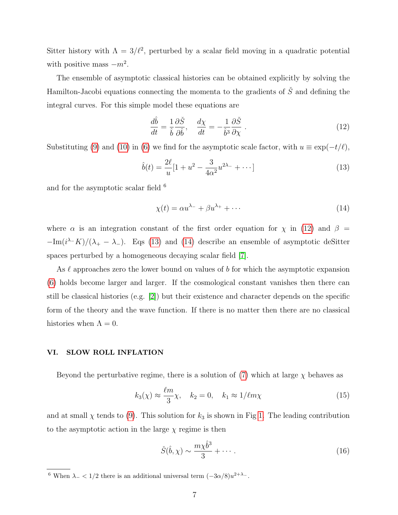Sitter history with  $\Lambda = 3/\ell^2$ , perturbed by a scalar field moving in a quadratic potential with positive mass  $-m^2$ .

The ensemble of asymptotic classical histories can be obtained explicitly by solving the Hamilton-Jacobi equations connecting the momenta to the gradients of  $\check{S}$  and defining the integral curves. For this simple model these equations are

<span id="page-6-0"></span>
$$
\frac{d\hat{b}}{dt} = \frac{1}{\hat{b}} \frac{\partial \check{S}}{\partial \hat{b}}, \quad \frac{d\chi}{dt} = -\frac{1}{\hat{b}^3} \frac{\partial \check{S}}{\partial \chi}.
$$
\n(12)

Substituting [\(9\)](#page-5-0) and [\(10\)](#page-5-1) in [\(6\)](#page-3-1) we find for the asymptotic scale factor, with  $u \equiv \exp(-t/\ell)$ ,

<span id="page-6-1"></span>
$$
\hat{b}(t) = \frac{2\ell}{u} [1 + u^2 - \frac{3}{4\alpha^2} u^{2\lambda -} + \cdots]
$$
\n(13)

and for the asymptotic scalar field  $6$ 

<span id="page-6-2"></span>
$$
\chi(t) = \alpha u^{\lambda_{-}} + \beta u^{\lambda_{+}} + \cdots \tag{14}
$$

where  $\alpha$  is an integration constant of the first order equation for  $\chi$  in [\(12\)](#page-6-0) and  $\beta$  =  $-\text{Im}(i^{\lambda} - K)/(\lambda_{+} - \lambda_{-})$ . Eqs [\(13\)](#page-6-1) and [\(14\)](#page-6-2) describe an ensemble of asymptotic deSitter spaces perturbed by a homogeneous decaying scalar field [\[7\]](#page-10-6).

As  $\ell$  approaches zero the lower bound on values of b for which the asymptotic expansion [\(6\)](#page-3-1) holds become larger and larger. If the cosmological constant vanishes then there can still be classical histories (e.g. [\[2\]](#page-10-1)) but their existence and character depends on the specific form of the theory and the wave function. If there is no matter then there are no classical histories when  $\Lambda = 0$ .

## VI. SLOW ROLL INFLATION

Beyond the perturbative regime, there is a solution of  $(7)$  which at large  $\chi$  behaves as

$$
k_3(\chi) \approx \frac{\ell m}{3} \chi, \quad k_2 = 0, \quad k_1 \approx 1/\ell m \chi \tag{15}
$$

and at small  $\chi$  tends to [\(9\)](#page-5-0). This solution for  $k_3$  is shown in Fig [1.](#page-7-0) The leading contribution to the asymptotic action in the large  $\chi$  regime is then

<span id="page-6-3"></span>
$$
\check{S}(\hat{b}, \chi) \sim \frac{m\chi \hat{b}^3}{3} + \cdots \,. \tag{16}
$$

<sup>&</sup>lt;sup>6</sup> When  $\lambda$ <sub>-</sub> < 1/2 there is an additional universal term  $(-3\alpha/8)u^{2+\lambda}$ .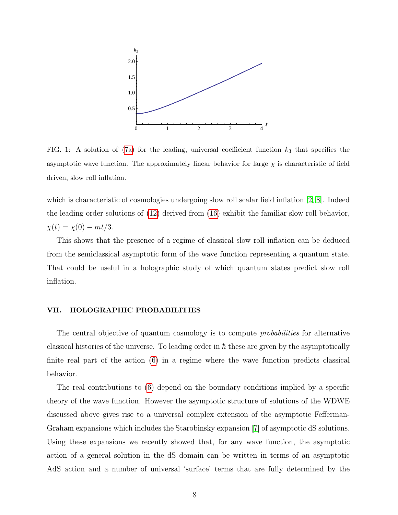

<span id="page-7-0"></span>FIG. 1: A solution of [\(7a\)](#page-3-4) for the leading, universal coefficient function  $k_3$  that specifies the asymptotic wave function. The approximately linear behavior for large  $\chi$  is characteristic of field driven, slow roll inflation.

which is characteristic of cosmologies undergoing slow roll scalar field inflation [\[2,](#page-10-1) [8\]](#page-10-7). Indeed the leading order solutions of [\(12\)](#page-6-0) derived from [\(16\)](#page-6-3) exhibit the familiar slow roll behavior,  $\chi(t) = \chi(0) - mt/3.$ 

This shows that the presence of a regime of classical slow roll inflation can be deduced from the semiclassical asymptotic form of the wave function representing a quantum state. That could be useful in a holographic study of which quantum states predict slow roll inflation.

#### VII. HOLOGRAPHIC PROBABILITIES

The central objective of quantum cosmology is to compute *probabilities* for alternative classical histories of the universe. To leading order in  $\hbar$  these are given by the asymptotically finite real part of the action [\(6\)](#page-3-1) in a regime where the wave function predicts classical behavior.

The real contributions to [\(6\)](#page-3-1) depend on the boundary conditions implied by a specific theory of the wave function. However the asymptotic structure of solutions of the WDWE discussed above gives rise to a universal complex extension of the asymptotic Fefferman-Graham expansions which includes the Starobinsky expansion [\[7\]](#page-10-6) of asymptotic dS solutions. Using these expansions we recently showed that, for any wave function, the asymptotic action of a general solution in the dS domain can be written in terms of an asymptotic AdS action and a number of universal 'surface' terms that are fully determined by the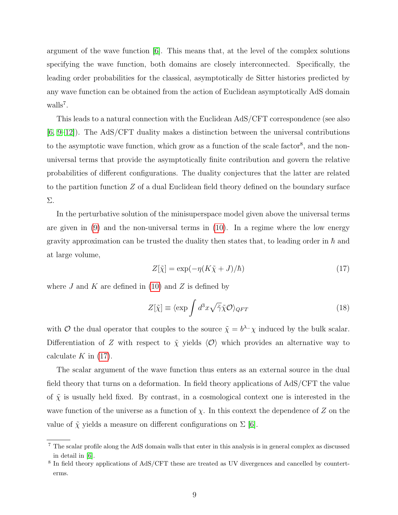argument of the wave function [\[6\]](#page-10-5). This means that, at the level of the complex solutions specifying the wave function, both domains are closely interconnected. Specifically, the leading order probabilities for the classical, asymptotically de Sitter histories predicted by any wave function can be obtained from the action of Euclidean asymptotically AdS domain walls<sup>7</sup>.

This leads to a natural connection with the Euclidean AdS/CFT correspondence (see also [\[6,](#page-10-5) [9–](#page-10-8)[12\]](#page-10-9)). The AdS/CFT duality makes a distinction between the universal contributions to the asymptotic wave function, which grow as a function of the scale factor<sup>8</sup>, and the nonuniversal terms that provide the asymptotically finite contribution and govern the relative probabilities of different configurations. The duality conjectures that the latter are related to the partition function Z of a dual Euclidean field theory defined on the boundary surface Σ.

In the perturbative solution of the minisuperspace model given above the universal terms are given in [\(9\)](#page-5-0) and the non-universal terms in [\(10\)](#page-5-1). In a regime where the low energy gravity approximation can be trusted the duality then states that, to leading order in  $\hbar$  and at large volume,

<span id="page-8-0"></span>
$$
Z[\tilde{\chi}] = \exp(-\eta (K\tilde{\chi} + J)/\hbar)
$$
\n(17)

where  $J$  and  $K$  are defined in [\(10\)](#page-5-1) and  $Z$  is defined by

$$
Z[\tilde{\chi}] \equiv \langle \exp \int d^3x \sqrt{\tilde{\gamma}} \tilde{\chi} \mathcal{O} \rangle_{QFT}
$$
 (18)

with O the dual operator that couples to the source  $\tilde{\chi} = b^{\lambda_-} \chi$  induced by the bulk scalar. Differentiation of Z with respect to  $\tilde{\chi}$  yields  $\langle \mathcal{O} \rangle$  which provides an alternative way to calculate  $K$  in [\(17\)](#page-8-0).

The scalar argument of the wave function thus enters as an external source in the dual field theory that turns on a deformation. In field theory applications of AdS/CFT the value of  $\tilde{\chi}$  is usually held fixed. By contrast, in a cosmological context one is interested in the wave function of the universe as a function of  $\chi$ . In this context the dependence of Z on the value of  $\tilde{\chi}$  yields a measure on different configurations on  $\Sigma$  [\[6\]](#page-10-5).

<sup>7</sup> The scalar profile along the AdS domain walls that enter in this analysis is in general complex as discussed in detail in [\[6\]](#page-10-5).

<sup>&</sup>lt;sup>8</sup> In field theory applications of AdS/CFT these are treated as UV divergences and cancelled by counterterms.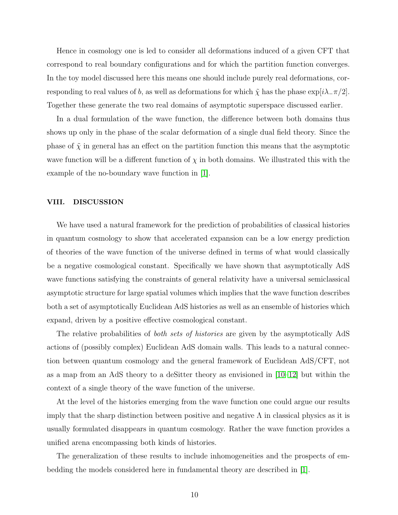Hence in cosmology one is led to consider all deformations induced of a given CFT that correspond to real boundary configurations and for which the partition function converges. In the toy model discussed here this means one should include purely real deformations, corresponding to real values of b, as well as deformations for which  $\tilde{\chi}$  has the phase  $\exp[i\lambda_{\perp}\pi/2]$ . Together these generate the two real domains of asymptotic superspace discussed earlier.

In a dual formulation of the wave function, the difference between both domains thus shows up only in the phase of the scalar deformation of a single dual field theory. Since the phase of  $\tilde{\chi}$  in general has an effect on the partition function this means that the asymptotic wave function will be a different function of  $\chi$  in both domains. We illustrated this with the example of the no-boundary wave function in [\[1\]](#page-10-0).

## VIII. DISCUSSION

We have used a natural framework for the prediction of probabilities of classical histories in quantum cosmology to show that accelerated expansion can be a low energy prediction of theories of the wave function of the universe defined in terms of what would classically be a negative cosmological constant. Specifically we have shown that asymptotically AdS wave functions satisfying the constraints of general relativity have a universal semiclassical asymptotic structure for large spatial volumes which implies that the wave function describes both a set of asymptotically Euclidean AdS histories as well as an ensemble of histories which expand, driven by a positive effective cosmological constant.

The relative probabilities of *both sets of histories* are given by the asymptotically AdS actions of (possibly complex) Euclidean AdS domain walls. This leads to a natural connection between quantum cosmology and the general framework of Euclidean AdS/CFT, not as a map from an AdS theory to a deSitter theory as envisioned in [\[10–](#page-10-10)[12\]](#page-10-9) but within the context of a single theory of the wave function of the universe.

At the level of the histories emerging from the wave function one could argue our results imply that the sharp distinction between positive and negative  $\Lambda$  in classical physics as it is usually formulated disappears in quantum cosmology. Rather the wave function provides a unified arena encompassing both kinds of histories.

The generalization of these results to include inhomogeneities and the prospects of embedding the models considered here in fundamental theory are described in [\[1\]](#page-10-0).